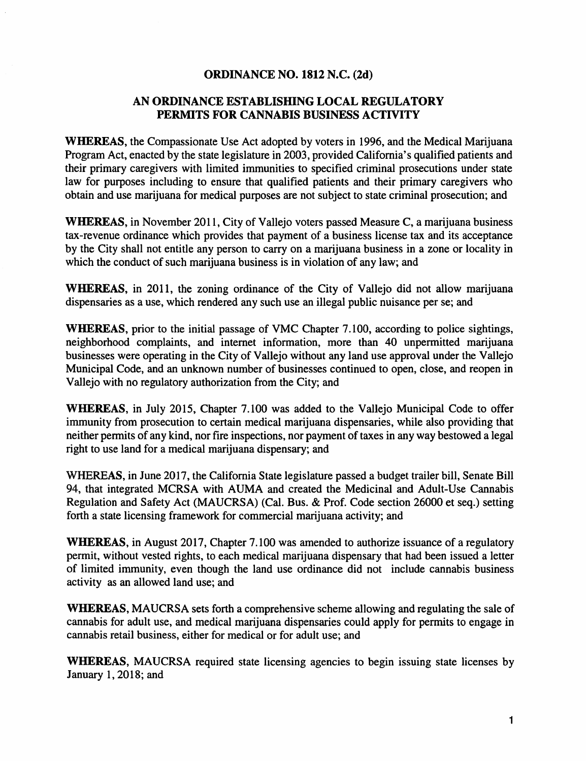#### ORDINANCE NO. 1812 N.C. (2d)

## AN ORDINANCE ESTABLISHING LOCAL REGULATORY PERMITS FOR CANNABIS BUSINESS ACTIVITY

WHEREAS, the Compassionate Use Act adopted by voters in 1996, and the Medical Marijuana Program Act, enacted by the state legislature in 2003, provided California's qualified patients and their primary caregivers with limited immunities to specified criminal prosecutions under state law for purposes including to ensure that qualified patients and their primary caregivers who obtain and use marijuana for medical purposes are not subject to state criminal prosecution; and

WHEREAS, in November 2011, City of Vallejo voters passed Measure C, a marijuana business tax-revenue ordinance which provides that payment of a business license tax and its acceptance by the City shall not entitle any person to carry on a marijuana business in a zone or locality in which the conduct of such marijuana business is in violation of any law; and

WHEREAS, in 2011, the zoning ordinance of the City of Vallejo did not allow marijuana dispensaries as a use, which rendered any such use an illegal public nuisance per se; and

WHEREAS, prior to the initial passage of VMC Chapter 7.100, according to police sightings, neighborhood complaints, and internet information, more than 40 unpermitted marijuana businesses were operating in the City of Vallejo without any land use approval under the Vallejo Municipal Code, and an unknown number of businesses continued to open, close, and reopen in Vallejo with no regulatory authorization from the City; and

WHEREAS, in July 2015, Chapter 7.100 was added to the Vallejo Municipal Code to offer immunity from prosecution to certain medical marijuana dispensaries, while also providing that neither pennits of any kind, nor fire inspections, nor payment of taxes in any way bestowed a legal right to use land for a medical marijuana dispensary; and

WHEREAS, in June 2017, the California State legislature passed a budget trailer bill, Senate Bill 94, that integrated MCRSA with AUMA and created the Medicinal and Adult-Use Cannabis Regulation and Safety Act (MAUCRSA) (Cal. Bus. & Prof. Code section 26000 et seq.) setting forth a state licensing framework for commercial marijuana activity; and

WHEREAS, in August 2017, Chapter 7.100 was amended to authorize issuance of a regulatory permit, without vested rights, to each medical marijuana dispensary that had been issued a letter of limited immunity, even though the land use ordinance did not include cannabis business activity as an allowed land use; and

WHEREAS, MAUCRSA sets forth a comprehensive scheme allowing and regulating the sale of cannabis for adult use, and medical marijuana dispensaries could apply for permits to engage in cannabis retail business, either for medical or for adult use; and

WHEREAS, MAUCRSA required state licensing agencies to begin issuing state licenses by January 1, 2018; and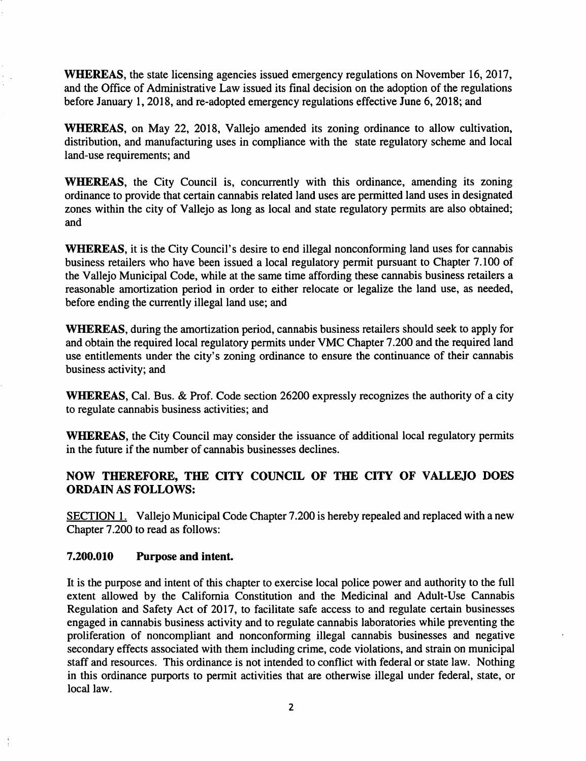WHEREAS, the state licensing agencies issued emergency regulations on November 16, 2017, and the Office of Administrative Law issued its final decision on the adoption of the regulations before January 1, 2018, and re-adopted emergency regulations effective June 6, 2018; and

WHEREAS, on May 22, 2018, Vallejo amended its zoning ordinance to allow cultivation, distribution, and manufacturing uses in compliance with the state regulatory scheme and local land-use requirements; and

WHEREAS, the City Council is, concurrently with this ordinance, amending its zoning ordinance to provide that certain cannabis related land uses are permitted land uses in designated zones within the city of Vallejo as long as local and state regulatory permits are also obtained; and

WHEREAS, it is the City Council's desire to end illegal nonconforming land uses for cannabis business retailers who have been issued a local regulatory permit pursuant to Chapter 7 .100 of the Vallejo Municipal Code, while at the same time affording these cannabis business retailers a reasonable amortization period in order to either relocate or legalize the land use, as needed, before ending the currently illegal land use; and

WHEREAS, during the amortization period, cannabis business retailers should seek to apply for and obtain the required local regulatory permits under VMC Chapter 7 .200 and the required land use entitlements under the city's zoning ordinance to ensure the continuance of their cannabis business activity; and

WHEREAS, Cal. Bus. & Prof. Code section 26200 expressly recognizes the authority of a city to regulate cannabis business activities; and

WHEREAS, the City Council may consider the issuance of additional local regulatory permits in the future if the number of cannabis businesses declines.

# NOW THEREFORE, THE CITY COUNCIL OF THE CITY OF VALLEJO DOES ORDAIN AS FOLLOWS:

SECTION 1. Vallejo Municipal Code Chapter 7.200 is hereby repealed and replaced with a new Chapter 7 .200 to read as follows:

#### 7.200.010 Purpose and intent.

It is the purpose and intent of this chapter to exercise local police power and authority to the full extent allowed by the California Constitution and the Medicinal and Adult-Use Cannabis Regulation and Safety Act of 2017, to facilitate safe access to and regulate certain businesses engaged in cannabis business activity and to regulate cannabis laboratories while preventing the proliferation of noncompliant and nonconforming illegal cannabis businesses and negative secondary effects associated with them including crime, code violations, and strain on municipal staff and resources. This ordinance is not intended to conflict with federal or state law. Nothing in this ordinance purports to permit activities that are otherwise illegal under federal, state, or local law.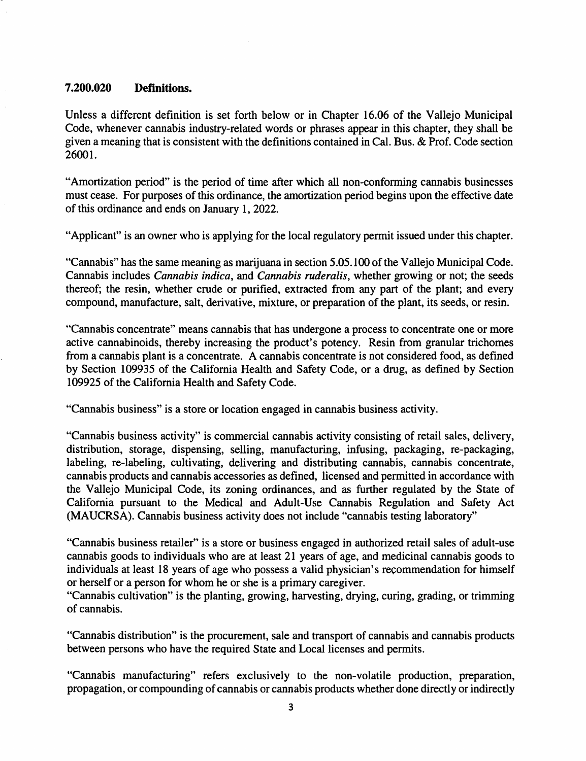#### **7.200.020 Definitions.**

Unless a different definition is set forth below or in Chapter 16.06 of the Vallejo Municipal Code, whenever cannabis industry-related words or phrases appear in this chapter, they shall be given a meaning that is consistent with the definitions contained in Cal. Bus. & Prof. Code section  $26001.$ 

"Amortization period" is the period of time after which all non-conforming cannabis businesses must cease. For purposes of this ordinance, the amortization period begins upon the effective date of this ordinance and ends on January 1, 2022.

"Applicant" is an owner who is applying for the local regulatory permit issued under this chapter.

"Cannabis" has the same meaning as marijuana in section 5.05.100 of the Vallejo Municipal Code. Cannabis includes *Cannabis indica,* and *Cannabis ruderalis,* whether growing or not; the seeds thereof; the resin, whether crude or purified, extracted from any part of the plant; and every compound, manufacture, salt, derivative, mixture, or preparation of the plant, its seeds, or resin.

"Cannabis concentrate" means cannabis that has undergone a process to concentrate one or more active cannabinoids, thereby increasing the product's potency. Resin from granular trichomes from a cannabis plant is a concentrate. A cannabis concentrate is not considered food, as defined by Section 109935 of the California Health and Safety Code, or a drug, as defined by Section 109925 of the California Health and Safety Code.

"Cannabis business" is a store or location engaged in cannabis business activity.

"Cannabis business activity" is commercial cannabis activity consisting of retail sales, delivery, distribution, storage, dispensing, selling, manufacturing, infusing, packaging, re-packaging, labeling, re-labeling, cultivating, delivering and distributing cannabis, cannabis concentrate, cannabis products and cannabis accessories as defined, licensed and permitted in accordance with the Vallejo Municipal Code, its zoning ordinances, and as further regulated by the State of California pursuant to the Medical and Adult-Use Cannabis Regulation and Safety Act (MAUCRSA). Cannabis business activity does not include "cannabis testing laboratory"

"Cannabis business retailer" is a store or business engaged in authorized retail sales of adult-use cannabis goods to individuals who are at least 21 years of age, and medicinal cannabis goods to individuals at least 18 years of age who possess a valid physician's recommendation for himself or herself or a person for whom he or she is a primary caregiver.

"Cannabis cultivation" is the planting, growing, harvesting, drying, curing, grading, or trimming of cannabis.

"Cannabis distribution" is the procurement, sale and transport of cannabis and cannabis products between persons who have the required State and Local licenses and permits.

"Cannabis manufacturing" refers exclusively to the non-volatile production, preparation, propagation, or compounding of cannabis or cannabis products whether done directly or indirectly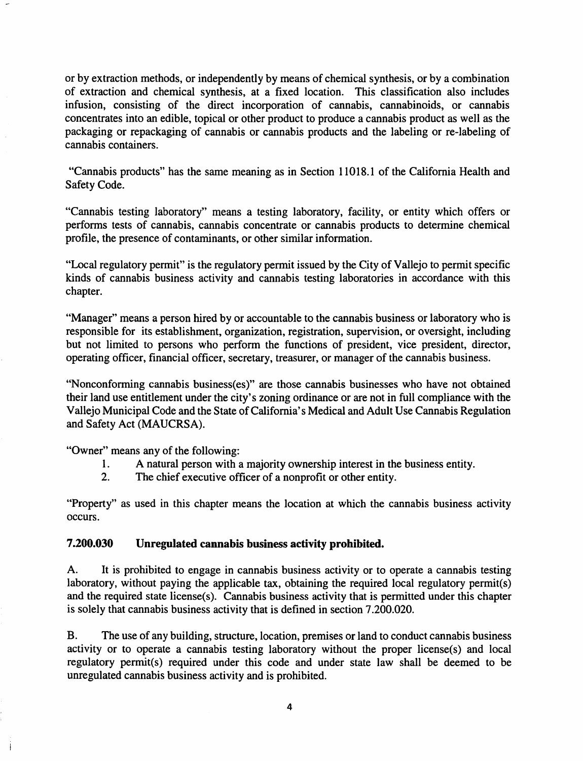or by extraction methods, or independently by means of chemical synthesis, or by a combination of extraction and chemical synthesis, at a fixed location. This classification also includes infusion, consisting of the direct incorporation of cannabis, cannabinoids, or cannabis concentrates into an edible, topical or other product to produce a cannabis product as well as the packaging or repackaging of cannabis or cannabis products and the labeling or re-labeling of cannabis containers.

"Cannabis products" has the same meaning as in Section 11018.1 of the California Health and Safety Code.

"Cannabis testing laboratory" means a testing laboratory, facility, or entity which offers or performs tests of cannabis, cannabis concentrate or cannabis products to determine chemical profile, the presence of contaminants, or other similar information.

"Local regulatory permit" is the regulatory permit issued by the City of Vallejo to permit specific kinds of cannabis business activity and cannabis testing laboratories in accordance with this chapter.

"Manager" means a person hired by or accountable to the cannabis business or laboratory who is responsible for its establishment, organization, registration, supervision, or oversight, including but not limited to persons who perform the functions of president, vice president, director, operating officer, financial officer, secretary, treasurer, or manager of the cannabis business.

"Nonconforming cannabis business(es)" are those cannabis businesses who have not obtained their land use entitlement under the city's zoning ordinance or are not in full compliance with the Vallejo Municipal Code and the State of California's Medical and Adult Use Cannabis Regulation and Safety Act (MAUCRSA).

"Owner" means any of the following:

- 1. A natural person with a majority ownership interest in the business entity.
- 2. The chief executive officer of a nonprofit or other entity.

"Property" as used in this chapter means the location at which the cannabis business activity occurs.

#### 7.200.030 Unregulated cannabis business activity prohibited.

A. It is prohibited to engage in cannabis business activity or to operate a cannabis testing laboratory, without paying the applicable tax, obtaining the required local regulatory permit(s) and the required state license(s). Cannabis business activity that is permitted under this chapter is solely that cannabis business activity that is defined in section 7 .200.020.

B. The use of any building, structure, location, premises or land to conduct cannabis business activity or to operate a cannabis testing laboratory without the proper license(s) and local regulatory permit(s) required under this code and under state law shall be deemed to be unregulated cannabis business activity and is prohibited.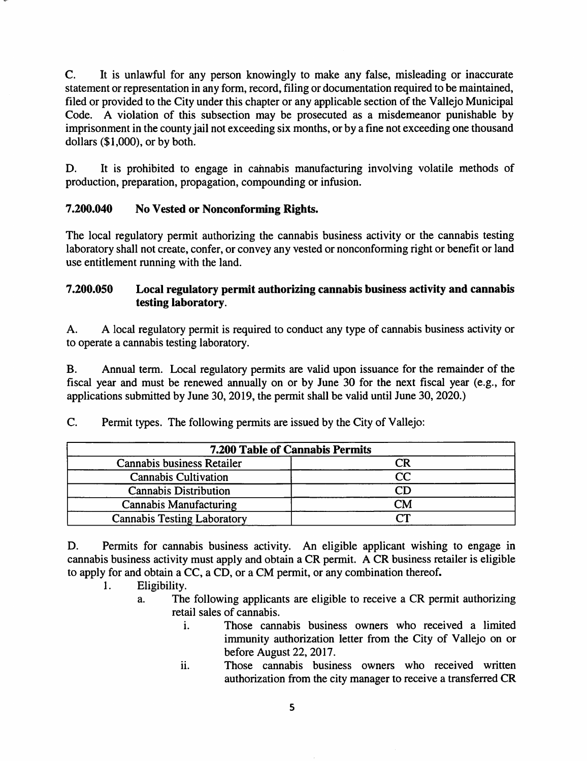C. It is unlawful for any person knowingly to make any false, misleading or inaccurate statement or representation in any form, record, filing or documentation required to be maintained, filed or provided to the City under this chapter or any applicable section of the Vallejo Municipal Code. A violation of this subsection may be prosecuted as a misdemeanor punishable by imprisonment in the county jail not exceeding six months, or by a fine not exceeding one thousand dollars (\$1,000), or by both.

D. It is prohibited to engage in cannabis manufacturing involving volatile methods of production, preparation, propagation, compounding or infusion.

# 7.200.040 No Vested or Nonconforming Rights.

The local regulatory permit authorizing the cannabis business activity or the cannabis testing laboratory shall not create, confer, or convey any vested or nonconforming right or benefit or land use entitlement running with the land.

## 7.200.050 Local regulatory permit authorizing cannabis business activity and cannabis testing laboratory.

A. A local regulatory permit is required to conduct any type of cannabis business activity or to operate a cannabis testing laboratory.

B. Annual term. Local regulatory permits are valid upon issuance for the remainder of the fiscal year and must be renewed annually on or by June 30 for the next fiscal year (e.g., for applications submitted by June 30, 2019, the permit shall be valid until June 30, 2020.)

C. Permit types. The following permits are issued by the City of Vallejo:

| <b>7.200 Table of Cannabis Permits</b> |          |
|----------------------------------------|----------|
| Cannabis business Retailer             | CR       |
| <b>Cannabis Cultivation</b>            | $\rm CC$ |
| <b>Cannabis Distribution</b>           | CD       |
| <b>Cannabis Manufacturing</b>          | CM       |
| <b>Cannabis Testing Laboratory</b>     | rη       |

D. Permits for cannabis business activity. An eligible applicant wishing to engage in cannabis business activity must apply and obtain a CR permit. A CR business retailer is eligible to apply for and obtain a CC, a CD, or a CM permit, or any combination thereof.

- I. Eligibility.
	- a. The following applicants are eligible to receive a CR permit authorizing retail sales of cannabis.
		- i. Those cannabis business owners who received a limited immunity authorization letter from the City of Vallejo on or before August 22, 2017.
		- ii. Those cannabis business owners who received written authorization from the city manager to receive a transferred CR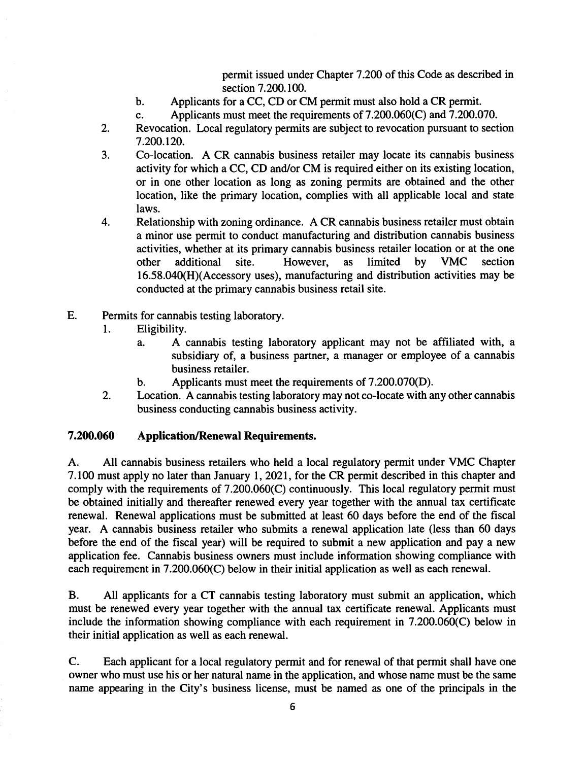permit issued under Chapter 7.200 of this Code as described in section 7.200.100.

- b. Applicants for a CC, CD or CM permit must also hold a CR permit.
- c. Applicants must meet the requirements of7.200.060(C) and 7.200.070.
- 2. Revocation. Local regulatory permits are subject to revocation pursuant to section 7.200.120.
- 3. Co-location. A CR cannabis business retailer may locate its cannabis business activity for which a CC, CD and/or CM is required either on its existing location, or in one other location as long as zoning permits are obtained and the other location, like the primary location, complies with all applicable local and state laws.
- 4. Relationship with zoning ordinance. A CR cannabis business retailer must obtain a minor use permit to conduct manufacturing and distribution cannabis business activities, whether at its primary cannabis business retailer location or at the one<br>other additional site. However, as limited by VMC section other additional site. However, as limited by VMC section 16.58.040(H)(Accessory uses), manufacturing and distribution activities may be conducted at the primary cannabis business retail site.
- E. Permits for cannabis testing laboratory.
	- 1. Eligibility.
		- a. A cannabis testing laboratory applicant may not be affiliated with, a subsidiary of, a business partner, a manager or employee of a cannabis business retailer.
		- b. Applicants must meet the requirements of 7.200.070(D).
	- 2. Location. A cannabis testing laboratory may not co-locate with any other cannabis business conducting cannabis business activity.

## **7.200.060 Application/Renewal Requirements.**

A. All cannabis business retailers who held a local regulatory permit under VMC Chapter 7 .100 must apply no later than January 1, 2021, for the CR permit described in this chapter and comply with the requirements of 7.200.060(C) continuously. This local regulatory permit must be obtained initially and thereafter renewed every year together with the annual tax certificate renewal. Renewal applications must be submitted at least 60 days before the end of the fiscal year. A cannabis business retailer who submits a renewal application late (less than 60 days before the end of the fiscal year) will be required to submit a new application and pay a new application fee. Cannabis business owners must include information showing compliance with each requirement in 7.200.060(C) below in their initial application as well as each renewal.

B. All applicants for a CT cannabis testing laboratory must submit an application, which must be renewed every year together with the annual tax certificate renewal. Applicants must include the information showing compliance with each requirement in 7.200.060(C) below in their initial application as well as each renewal.

C. Each applicant for a local regulatory permit and for renewal of that permit shall have one owner who must use his or her natural name in the application, and whose name must be the same name appearing in the City's business license, must be named as one of the principals in the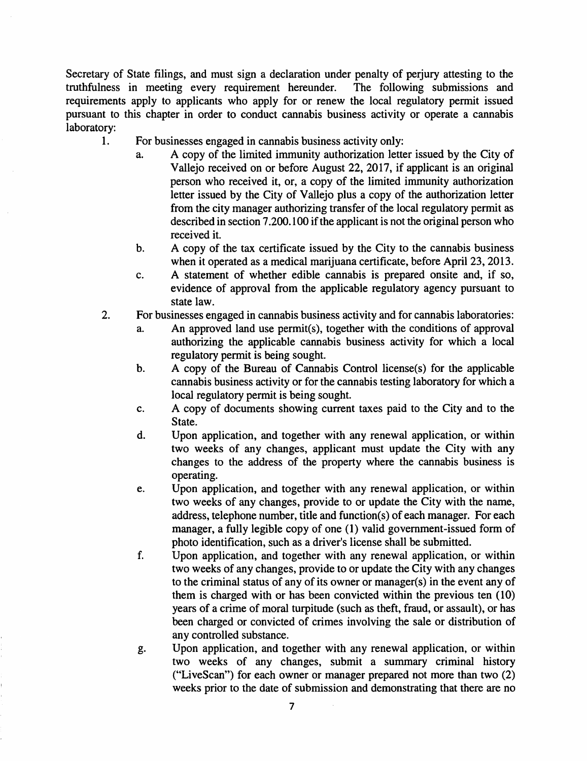Secretary of State filings, and must sign a declaration under penalty of perjury attesting to the truthfulness in meeting every requirement hereunder. The following submissions and truthfulness in meeting every requirement hereunder. requirements apply to applicants who apply for or renew the local regulatory permit issued pursuant to this chapter in order to conduct cannabis business activity or operate a cannabis laboratory:

- 1. For businesses engaged in cannabis business activity only:
	- a. A copy of the limited immunity authorization letter issued by the City of Vallejo received on or before August 22, 2017, if applicant is an original person who received it, or, a copy of the limited immunity authorization letter issued by the City of Vallejo plus a copy of the authorization letter from the city manager authorizing transfer of the local regulatory permit as described in section 7 .200.100 if the applicant is not the original person who received it.
	- b. A copy of the tax certificate issued by the City to the cannabis business when it operated as a medical marijuana certificate, before April 23, 2013.
	- c. A statement of whether edible cannabis is prepared onsite and, if so, evidence of approval from the applicable regulatory agency pursuant to state law.
- 2. For businesses engaged in cannabis business activity and for cannabis laboratories:
	- a. An approved land use permit(s), together with the conditions of approval authorizing the applicable cannabis business activity for which a local regulatory permit is being sought.
	- b. A copy of the Bureau of Cannabis Control license(s) for the applicable cannabis business activity or for the cannabis testing laboratory for which a local regulatory permit is being sought.
	- c. A copy of documents showing current taxes paid to the City and to the State.
	- d. Upon application, and together with any renewal application, or within two weeks of any changes, applicant must update the City with any changes to the address of the property where the cannabis business is operating.
	- e. Upon application, and together with any renewal application, or within two weeks of any changes, provide to or update the City with the name, address, telephone number, title and function(s) of each manager. For each manager, a fully legible copy of one (1) valid government-issued form of photo identification, such as a driver's license shall be submitted.
	- f. Upon application, and together with any renewal application, or within two weeks of any changes, provide to or update the City with any changes to the criminal status of any of its owner or manager(s) in the event any of them is charged with or has been convicted within the previous ten ( 10) years of a crime of moral turpitude (such as theft, fraud, or assault), or has been charged or convicted of crimes involving the sale or distribution of any controlled substance.
	- g. Upon application, and together with any renewal application, or within two weeks of any changes, submit a summary criminal history ("LiveScan") for each owner or manager prepared not more than two (2) weeks prior to the date of submission and demonstrating that there are no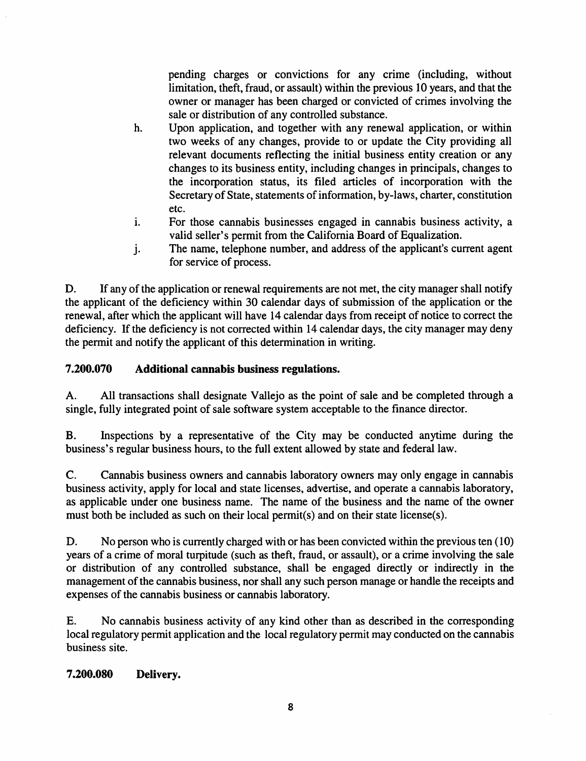pending charges or convictions for any crime (including, without limitation, theft, fraud, or assault) within the previous 10 years, and that the owner or manager has been charged or convicted of crimes involving the sale or distribution of any controlled substance.

- h. Upon application, and together with any renewal application, or within two weeks of any changes, provide to or update the City providing all relevant documents reflecting the initial business entity creation or any changes to its business entity, including changes in principals, changes to the incorporation status, its filed articles of incorporation with the Secretary of State, statements of information, by-laws, charter, constitution etc.
- i. For those cannabis businesses engaged in cannabis business activity, a valid seller's permit from the California Board of Equalization.
- j. The name, telephone number, and address of the applicant's current agent for service of process.

D. If any of the application or renewal requirements are not met, the city manager shall notify the applicant of the deficiency within 30 calendar days of submission of the application or the renewal, after which the applicant will have 14 calendar days from receipt of notice to correct the deficiency. If the deficiency is not corrected within 14 calendar days, the city manager may deny the permit and notify the applicant of this determination in writing.

# **7.200.070 Additional cannabis business regulations.**

A. All transactions shall designate Vallejo as the point of sale and be completed through a single, fully integrated point of sale software system acceptable to the finance director.

B. Inspections by a representative of the City may be conducted anytime during the business's regular business hours, to the full extent allowed by state and federal law.

C. Cannabis business owners and cannabis laboratory owners may only engage in cannabis business activity, apply for local and state licenses, advertise, and operate a cannabis laboratory, as applicable under one business name. The name of the business and the name of the owner must both be included as such on their local permit(s) and on their state license(s).

D. No person who is currently charged with or has been convicted within the previous ten (10) years of a crime of moral turpitude (such as theft, fraud, or assault), or a crime involving the sale or distribution of any controlled substance, shall be engaged directly or indirectly in the management of the cannabis business, nor shall any such person manage or handle the receipts and expenses of the cannabis business or cannabis laboratory.

E. No cannabis business activity of any kind other than as described in the corresponding local regulatory permit application and the local regulatory permit may conducted on the cannabis business site.

## **7.200.080 Delivery.**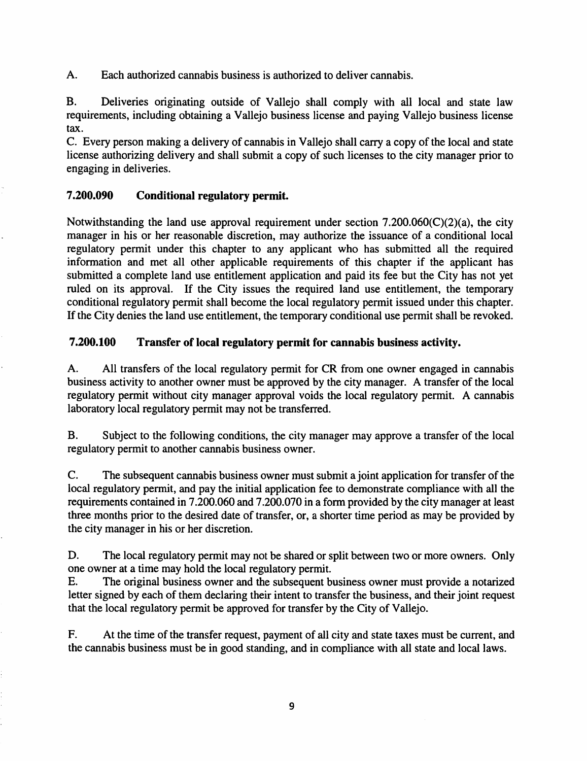A. Each authorized cannabis business is authorized to deliver cannabis.

B. Deliveries originating outside of Vallejo shall comply with all local and state law requirements, including obtaining a Vallejo business license and paying Vallejo business license tax.

C. Every person making a delivery of cannabis in Vallejo shall carry a copy of the local and state license authorizing delivery and shall submit a copy of such licenses to the city manager prior to engaging in deliveries.

#### 7.200.090 Conditional regulatory permit.

Notwithstanding the land use approval requirement under section  $7.200.060(C)(2)(a)$ , the city manager in his or her reasonable discretion, may authorize the issuance of a conditional local regulatory permit under this chapter to any applicant who has submitted all the required information and met all other applicable requirements of this chapter if the applicant has submitted a complete land use entitlement application and paid its fee but the City has not yet ruled on its approval. If the City issues the required land use entitlement, the temporary conditional regulatory permit shall become the local regulatory permit issued under this chapter. If the City denies the land use entitlement, the temporary conditional use permit shall be revoked.

#### 7.200.100 Transfer of local regulatory permit for cannabis business activity.

A. All transfers of the local regulatory permit for CR from one owner engaged in cannabis business activity to another owner must be approved by the city manager. A transfer of the local regulatory permit without city manager approval voids the local regulatory permit. A cannabis laboratory local regulatory permit may not be transferred.

B. Subject to the following conditions, the city manager may approve a transfer of the local regulatory permit to another cannabis business owner.

C. The subsequent cannabis business owner must submit a joint application for transfer of the local regulatory permit, and pay the initial application fee to demonstrate compliance with all the requirements contained in 7 .200.060 and 7 .200.070 in a form provided by the city manager at least three months prior to the desired date of transfer, or, a shorter time period as may be provided by the city manager in his or her discretion.

D. The local regulatory permit may not be shared or split between two or more owners. Only one owner at a time may hold the local regulatory permit.

E. The original business owner and the subsequent business owner must provide a notarized letter signed by each of them declaring their intent to transfer the business, and their joint request that the local regulatory permit be approved for transfer by the City of Vallejo.

F. At the time of the transfer request, payment of all city and state taxes must be current, and the cannabis business must be in good standing, and in compliance with all state and local laws.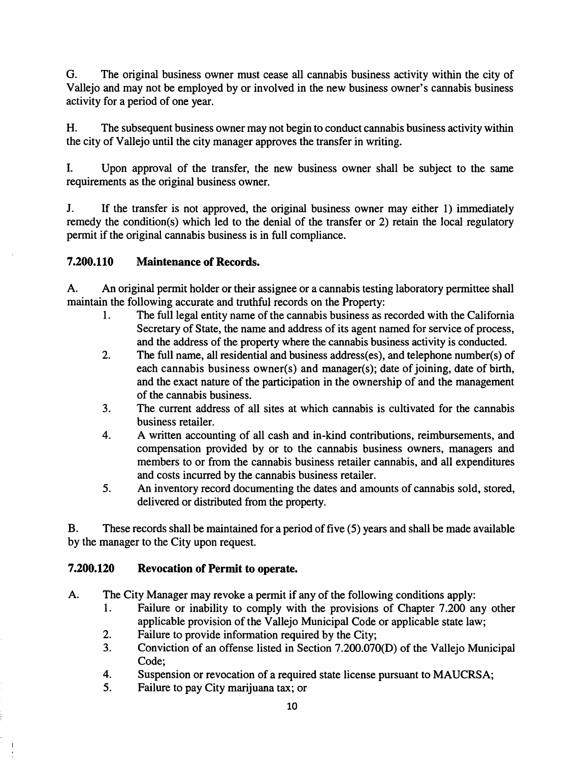G. The original business owner must cease all cannabis business activity within the city of Vallejo and may not be employed by or involved in the new business owner's cannabis business activity for a period of one year.

H. The subsequent business owner may not begin to conduct cannabis business activity within the city of Vallejo until the city manager approves the transfer in writing.

I. Upon approval of the transfer, the new business owner shall be subject to the same requirements as the original business owner.

J. If the transfer is not approved, the original business owner may either 1) immediately remedy the condition(s) which led to the denial of the transfer or 2) retain the local regulatory permit if the original cannabis business is in full compliance.

# **7.200.110 Maintenance of Records.**

A. An original permit holder or their assignee or a cannabis testing laboratory permittee shall maintain the following accurate and truthful records on the Property:

- 1. The full legal entity name of the cannabis business as recorded with the California Secretary of State, the name and address of its agent named for service of process, and the address of the property where the cannabis business activity is conducted.
- 2. The full name, all residential and business address(es), and telephone number(s) of each cannabis business owner(s) and manager(s); date of joining, date of birth, and the exact nature of the participation in the ownership of and the management of the cannabis business.
- 3. The current address of all sites at which cannabis is cultivated for the cannabis business retailer.
- 4. A written accounting of all cash and in-kind contributions, reimbursements, and compensation provided by or to the cannabis business owners, managers and members to or from the cannabis business retailer cannabis, and all expenditures and costs incurred by the cannabis business retailer.
- 5. An inventory record documenting the dates and amounts of cannabis sold, stored, delivered or distributed from the property.

B. These records shall be maintained for a period of five (5) years and shall be made available by the manager to the City upon request.

## **7.200.120 Revocation of Permit to operate.**

A. The City Manager may revoke a permit if any of the following conditions apply:

- 1. Failure or inability to comply with the provisions of Chapter 7.200 any other applicable provision of the Vallejo Municipal Code or applicable state law;
- 2. Failure to provide information required by the City;
- 3. Conviction of an offense listed in Section 7.200.070(0) of the Vallejo Municipal Code;
- 4. Suspension or revocation of a required state license pursuant to MAUCRSA;
- 5. Failure to pay City marijuana tax; or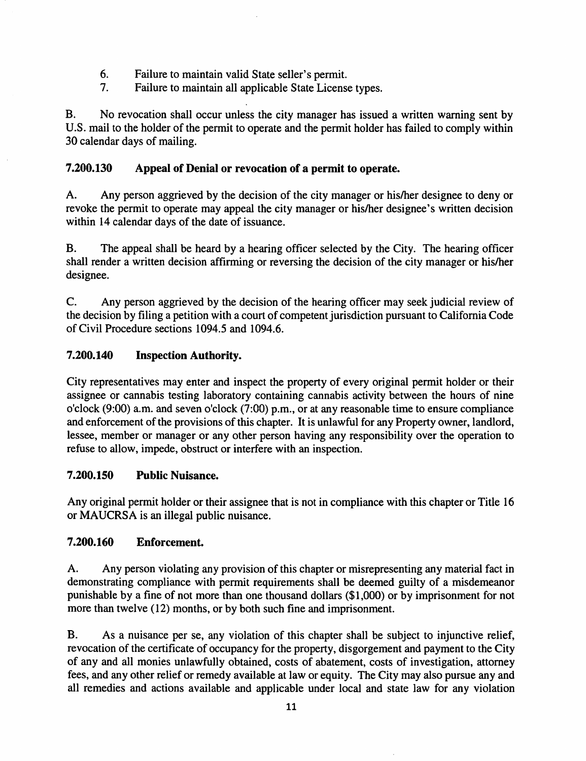- 6. Failure to maintain valid State seller's permit.
- 7. Failure to maintain all applicable State License types.

B. No revocation shall occur unless the city manager has issued a written warning sent by U.S. mail to the holder of the permit to operate and the permit holder has failed to comply within 30 calendar days of mailing.

# 7.200.130 Appeal of Denial or revocation of a permit to operate.

A. Any person aggrieved by the decision of the city manager or his/her designee to deny or revoke the permit to operate may appeal the city manager or his/her designee's written decision within 14 calendar days of the date of issuance.

B. The appeal shall be heard by a hearing officer selected by the City. The hearing officer shall render a written decision affirming or reversing the decision of the city manager or his/her designee.

C. Any person aggrieved by the decision of the hearing officer may seek judicial review of the decision by filing a petition with a court of competent jurisdiction pursuant to California Code of Civil Procedure sections 1094.5 and 1094.6.

# 7.200.140 Inspection Authority.

City representatives may enter and inspect the property of every original permit holder or their assignee or cannabis testing laboratory containing cannabis activity between the hours of nine o'clock (9:00) a.m. and seven o'clock (7:00) p.m., or at any reasonable time to ensure compliance and enforcement of the provisions of this chapter. It is unlawful for any Property owner, landlord, lessee, member or manager or any other person having any responsibility over the operation to refuse to allow, impede, obstruct or interfere with an inspection.

## 7.200.150 Public Nuisance.

Any original permit holder or their assignee that is not in compliance with this chapter or Title 16 or MAUCRSA is an illegal public nuisance.

## 7.200.160 Enforcement.

A. Any person violating any provision of this chapter or misrepresenting any material fact in demonstrating compliance with permit requirements shall be deemed guilty of a misdemeanor punishable by a fine of not more than one thousand dollars (\$1,000) or by imprisonment for not more than twelve (12) months, or by both such fine and imprisonment.

B. As a nuisance per se, any violation of this chapter shall be subject to injunctive relief, revocation of the certificate of occupancy for the property, disgorgement and payment to the City of any and all monies unlawfully obtained, costs of abatement, costs of investigation, attorney fees, and any other relief or remedy available at law or equity. The City may also pursue any and all remedies and actions available and applicable under local and state law for any violation